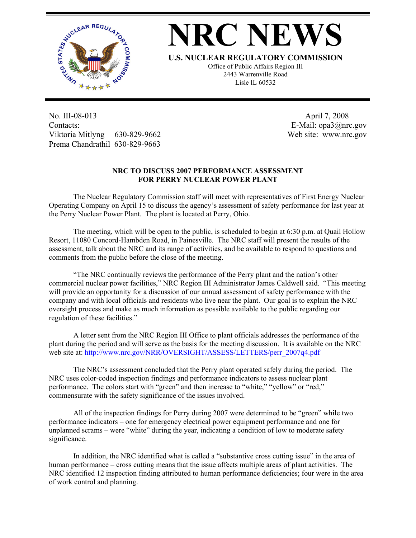

## **NRC NEW**

**U.S. NUCLEAR REGULATORY COMMISSION**

Office of Public Affairs Region III 2443 Warrenville Road Lisle IL 60532

No. III-08-013 Contacts: Viktoria Mitlyng 630-829-9662 Prema Chandrathil 630-829-9663

 April 7, 2008 E-Mail: opa3@nrc.gov Web site: www.nrc.gov

## **NRC TO DISCUSS 2007 PERFORMANCE ASSESSMENT FOR PERRY NUCLEAR POWER PLANT**

 The Nuclear Regulatory Commission staff will meet with representatives of First Energy Nuclear Operating Company on April 15 to discuss the agency's assessment of safety performance for last year at the Perry Nuclear Power Plant. The plant is located at Perry, Ohio.

 The meeting, which will be open to the public, is scheduled to begin at 6:30 p.m. at Quail Hollow Resort, 11080 Concord-Hambden Road, in Painesville. The NRC staff will present the results of the assessment, talk about the NRC and its range of activities, and be available to respond to questions and comments from the public before the close of the meeting.

 "The NRC continually reviews the performance of the Perry plant and the nation's other commercial nuclear power facilities," NRC Region III Administrator James Caldwell said. "This meeting will provide an opportunity for a discussion of our annual assessment of safety performance with the company and with local officials and residents who live near the plant. Our goal is to explain the NRC oversight process and make as much information as possible available to the public regarding our regulation of these facilities."

 A letter sent from the NRC Region III Office to plant officials addresses the performance of the plant during the period and will serve as the basis for the meeting discussion. It is available on the NRC web site at: [http://www.nrc.gov/NRR/OVERSIGHT/ASSESS/LETTERS/perr\\_2007q4.pdf](http://www.nrc.gov/NRR/OVERSIGHT/ASSESS/LETTERS/perr_2007q4.pdf)

 The NRC's assessment concluded that the Perry plant operated safely during the period. The NRC uses color-coded inspection findings and performance indicators to assess nuclear plant performance. The colors start with "green" and then increase to "white," "yellow" or "red," commensurate with the safety significance of the issues involved.

 All of the inspection findings for Perry during 2007 were determined to be "green" while two performance indicators – one for emergency electrical power equipment performance and one for unplanned scrams – were "white" during the year, indicating a condition of low to moderate safety significance.

 In addition, the NRC identified what is called a "substantive cross cutting issue" in the area of human performance – cross cutting means that the issue affects multiple areas of plant activities. The NRC identified 12 inspection finding attributed to human performance deficiencies; four were in the area of work control and planning.